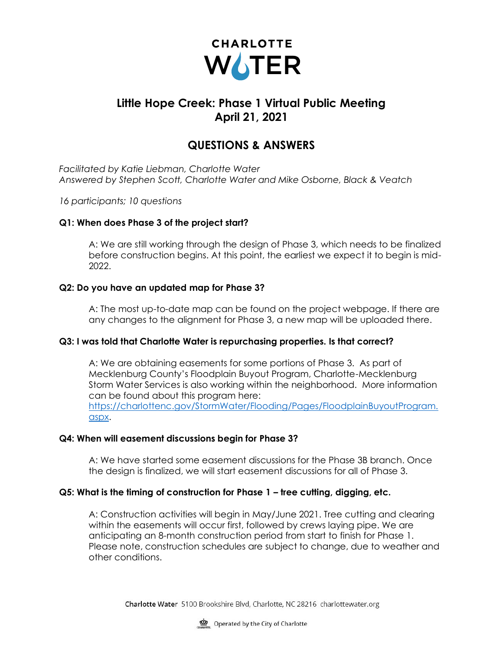

# **Little Hope Creek: Phase 1 Virtual Public Meeting April 21, 2021**

## **QUESTIONS & ANSWERS**

*Facilitated by Katie Liebman, Charlotte Water Answered by Stephen Scott, Charlotte Water and Mike Osborne, Black & Veatch*

*16 participants; 10 questions*

### **Q1: When does Phase 3 of the project start?**

A: We are still working through the design of Phase 3, which needs to be finalized before construction begins. At this point, the earliest we expect it to begin is mid-2022.

### **Q2: Do you have an updated map for Phase 3?**

A: The most up-to-date map can be found on the project webpage. If there are any changes to the alignment for Phase 3, a new map will be uploaded there.

#### **Q3: I was told that Charlotte Water is repurchasing properties. Is that correct?**

A: We are obtaining easements for some portions of Phase 3. As part of Mecklenburg County's Floodplain Buyout Program, Charlotte-Mecklenburg Storm Water Services is also working within the neighborhood. More information can be found about this program here: [https://charlottenc.gov/StormWater/Flooding/Pages/FloodplainBuyoutProgram.](https://charlottenc.gov/StormWater/Flooding/Pages/FloodplainBuyoutProgram.aspx) [aspx.](https://charlottenc.gov/StormWater/Flooding/Pages/FloodplainBuyoutProgram.aspx)

#### **Q4: When will easement discussions begin for Phase 3?**

A: We have started some easement discussions for the Phase 3B branch. Once the design is finalized, we will start easement discussions for all of Phase 3.

#### **Q5: What is the timing of construction for Phase 1 – tree cutting, digging, etc.**

A: Construction activities will begin in May/June 2021. Tree cutting and clearing within the easements will occur first, followed by crews laying pipe. We are anticipating an 8-month construction period from start to finish for Phase 1. Please note, construction schedules are subject to change, due to weather and other conditions.

Charlotte Water 5100 Brookshire Blvd, Charlotte, NC 28216 charlottewater.org